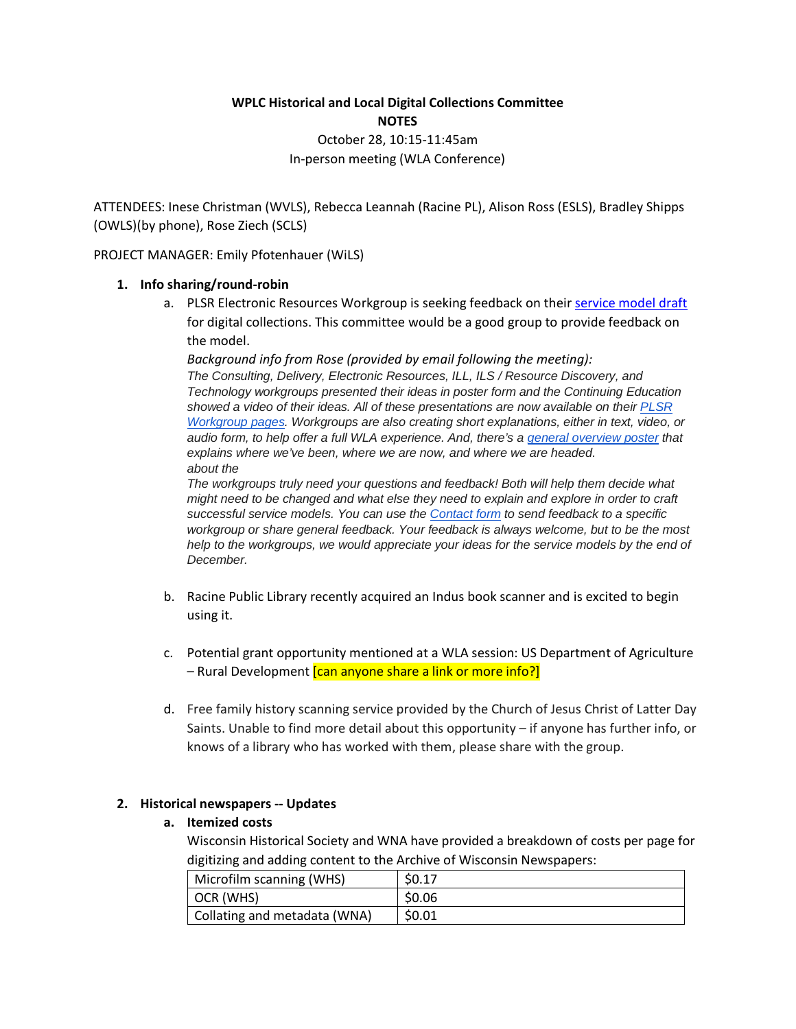# **WPLC Historical and Local Digital Collections Committee NOTES**

October 28, 10:15-11:45am In-person meeting (WLA Conference)

ATTENDEES: Inese Christman (WVLS), Rebecca Leannah (Racine PL), Alison Ross (ESLS), Bradley Shipps (OWLS)(by phone), Rose Ziech (SCLS)

PROJECT MANAGER: Emily Pfotenhauer (WiLS)

### **1. Info sharing/round-robin**

a. PLSR Electronic Resources Workgroup is seeking feedback on their [service model draft](http://www.plsr.info/workgroups/electronic-resources/) for digital collections. This committee would be a good group to provide feedback on the model.

*Background info from Rose (provided by email following the meeting): The Consulting, Delivery, Electronic Resources, ILL, ILS / Resource Discovery, and Technology workgroups presented their ideas in poster form and the Continuing Education showed a video of their ideas. All of these presentations are now available on their [PLSR](http://www.plsr.info/workgroups/)  [Workgroup pages.](http://www.plsr.info/workgroups/) Workgroups are also creating short explanations, either in text, video, or audio form, to help offer a full WLA experience. And, there's a [general overview poster](http://www.plsr.info/) that explains where we've been, where we are now, and where we are headed. about the* 

*The workgroups truly need your questions and feedback! Both will help them decide what might need to be changed and what else they need to explain and explore in order to craft successful service models. You can use the [Contact form](http://www.plsr.info/contact/) to send feedback to a specific workgroup or share general feedback. Your feedback is always welcome, but to be the most help to the workgroups, we would appreciate your ideas for the service models by the end of December.*

- b. Racine Public Library recently acquired an Indus book scanner and is excited to begin using it.
- c. Potential grant opportunity mentioned at a WLA session: US Department of Agriculture – Rural Development *[can anyone share a link or more info?]*
- d. Free family history scanning service provided by the Church of Jesus Christ of Latter Day Saints. Unable to find more detail about this opportunity – if anyone has further info, or knows of a library who has worked with them, please share with the group.

### **2. Historical newspapers -- Updates**

#### **a. Itemized costs**

Wisconsin Historical Society and WNA have provided a breakdown of costs per page for digitizing and adding content to the Archive of Wisconsin Newspapers:

| Microfilm scanning (WHS)     | \$0.17 |
|------------------------------|--------|
| OCR (WHS)                    | \$0.06 |
| Collating and metadata (WNA) | \$0.01 |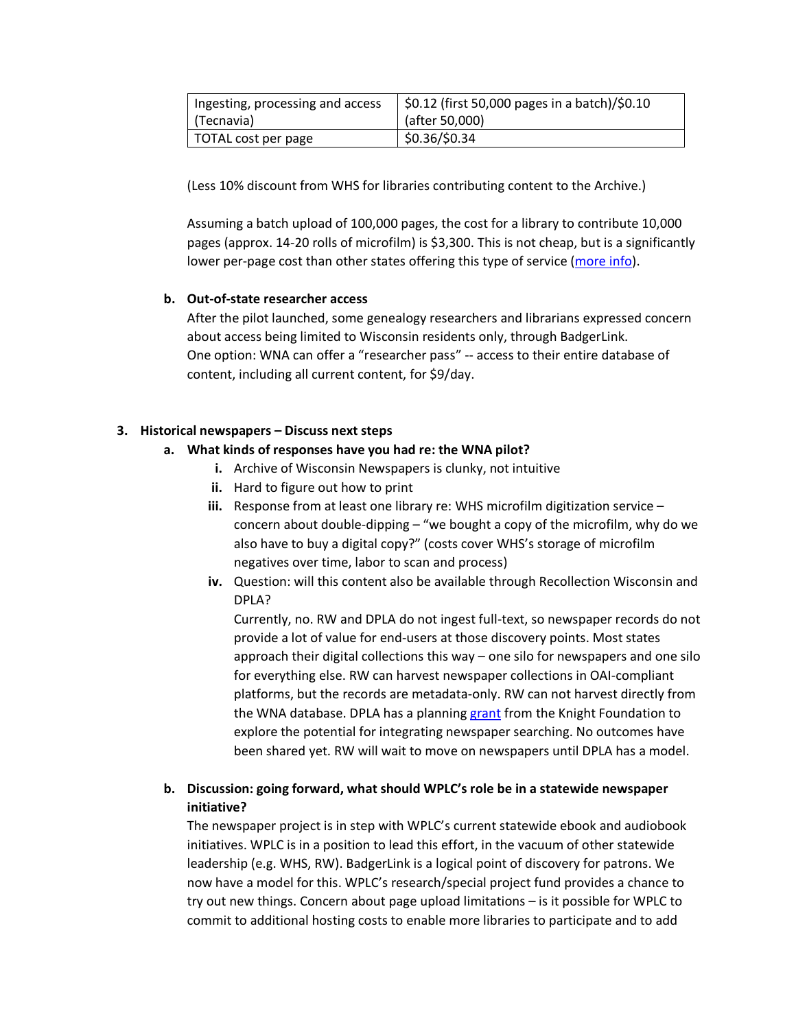| Ingesting, processing and access | \$0.12 (first 50,000 pages in a batch)/\$0.10 |
|----------------------------------|-----------------------------------------------|
| (Tecnavia)                       | $\int$ (after 50,000)                         |
| TOTAL cost per page              | \$0.36/\$0.34                                 |

(Less 10% discount from WHS for libraries contributing content to the Archive.)

Assuming a batch upload of 100,000 pages, the cost for a library to contribute 10,000 pages (approx. 14-20 rolls of microfilm) is \$3,300. This is not cheap, but is a significantly lower per-page cost than other states offering this type of service [\(more info\)](https://www.dropbox.com/s/rl94ffonbiptqfz/StateNewspaperDigitizationServices.docx?dl=0).

# **b. Out-of-state researcher access**

After the pilot launched, some genealogy researchers and librarians expressed concern about access being limited to Wisconsin residents only, through BadgerLink. One option: WNA can offer a "researcher pass" -- access to their entire database of content, including all current content, for \$9/day.

# **3. Historical newspapers – Discuss next steps**

- **a. What kinds of responses have you had re: the WNA pilot?**
	- **i.** Archive of Wisconsin Newspapers is clunky, not intuitive
	- **ii.** Hard to figure out how to print
	- **iii.** Response from at least one library re: WHS microfilm digitization service concern about double-dipping – "we bought a copy of the microfilm, why do we also have to buy a digital copy?" (costs cover WHS's storage of microfilm negatives over time, labor to scan and process)
	- **iv.** Question: will this content also be available through Recollection Wisconsin and DPLA?

Currently, no. RW and DPLA do not ingest full-text, so newspaper records do not provide a lot of value for end-users at those discovery points. Most states approach their digital collections this way – one silo for newspapers and one silo for everything else. RW can harvest newspaper collections in OAI-compliant platforms, but the records are metadata-only. RW can not harvest directly from the WNA database. DPLA has a planning [grant](https://dp.la/info/2015/11/09/dpla-announces-knight-grant-to-research-the-potential-integration-of-newspaper-content/) from the Knight Foundation to explore the potential for integrating newspaper searching. No outcomes have been shared yet. RW will wait to move on newspapers until DPLA has a model.

# **b. Discussion: going forward, what should WPLC's role be in a statewide newspaper initiative?**

The newspaper project is in step with WPLC's current statewide ebook and audiobook initiatives. WPLC is in a position to lead this effort, in the vacuum of other statewide leadership (e.g. WHS, RW). BadgerLink is a logical point of discovery for patrons. We now have a model for this. WPLC's research/special project fund provides a chance to try out new things. Concern about page upload limitations – is it possible for WPLC to commit to additional hosting costs to enable more libraries to participate and to add